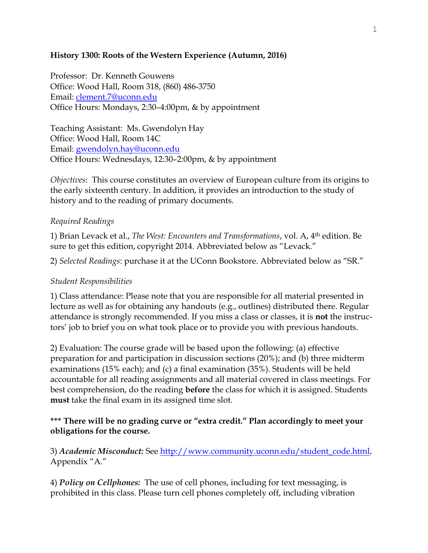#### **History 1300: Roots of the Western Experience (Autumn, 2016)**

Professor: Dr. Kenneth Gouwens Office: Wood Hall, Room 318, (860) 486-3750 Email: [clement.7@uconn.edu](mailto:clement.7@uconn.edu) Office Hours: Mondays, 2:30–4:00pm, & by appointment

Teaching Assistant: Ms. Gwendolyn Hay Office: Wood Hall, Room 14C Email: [gwendolyn.hay@uconn.edu](mailto:gwendolyn.hay@uconn.edu) Office Hours: Wednesdays, 12:30–2:00pm, & by appointment

*Objectives*: This course constitutes an overview of European culture from its origins to the early sixteenth century. In addition, it provides an introduction to the study of history and to the reading of primary documents.

### *Required Readings*

1) Brian Levack et al., *The West: Encounters and Transformations*, vol. A, 4th edition. Be sure to get this edition, copyright 2014. Abbreviated below as "Levack."

2) *Selected Readings*: purchase it at the UConn Bookstore. Abbreviated below as "SR."

#### *Student Responsibilities*

1) Class attendance: Please note that you are responsible for all material presented in lecture as well as for obtaining any handouts (e.g., outlines) distributed there. Regular attendance is strongly recommended. If you miss a class or classes, it is **not** the instructors' job to brief you on what took place or to provide you with previous handouts.

2) Evaluation: The course grade will be based upon the following: (a) effective preparation for and participation in discussion sections (20%); and (b) three midterm examinations (15% each); and (c) a final examination (35%). Students will be held accountable for all reading assignments and all material covered in class meetings. For best comprehension, do the reading **before** the class for which it is assigned. Students **must** take the final exam in its assigned time slot.

# **\*\*\* There will be no grading curve or "extra credit." Plan accordingly to meet your obligations for the course.**

3) *Academic Misconduct:* See [http://www.community.uconn.edu/student\\_code.html,](http://www.community.uconn.edu/student_code.html) Appendix "A."

4) *Policy on Cellphones:* The use of cell phones, including for text messaging, is prohibited in this class. Please turn cell phones completely off, including vibration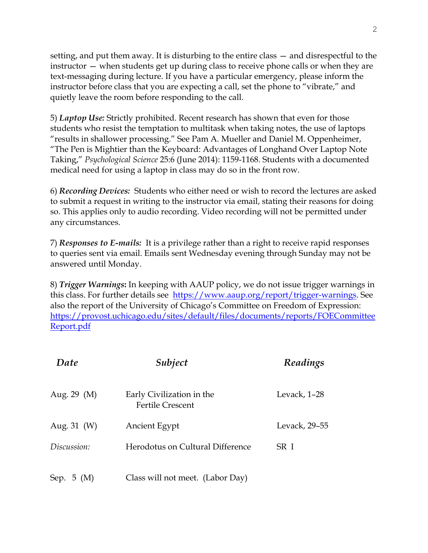setting, and put them away. It is disturbing to the entire class — and disrespectful to the instructor — when students get up during class to receive phone calls or when they are text-messaging during lecture. If you have a particular emergency, please inform the instructor before class that you are expecting a call, set the phone to "vibrate," and quietly leave the room before responding to the call.

5) *Laptop Use:* Strictly prohibited. Recent research has shown that even for those students who resist the temptation to multitask when taking notes, the use of laptops "results in shallower processing." See Pam A. Mueller and Daniel M. Oppenheimer, "The Pen is Mightier than the Keyboard: Advantages of Longhand Over Laptop Note Taking," *Psychological Science* 25:6 (June 2014): 1159-1168. Students with a documented medical need for using a laptop in class may do so in the front row.

6) *Recording Devices:* Students who either need or wish to record the lectures are asked to submit a request in writing to the instructor via email, stating their reasons for doing so. This applies only to audio recording. Video recording will not be permitted under any circumstances.

7) *Responses to E-mails:* It is a privilege rather than a right to receive rapid responses to queries sent via email. Emails sent Wednesday evening through Sunday may not be answered until Monday.

8) *Trigger Warnings***:** In keeping with AAUP policy, we do not issue trigger warnings in this class. For further details see [https://www.aaup.org/report/trigger-warnings.](https://www.aaup.org/report/trigger-warnings) See also the report of the University of Chicago's Committee on Freedom of Expression: [https://provost.uchicago.edu/sites/default/files/documents/reports/FOECommittee](https://provost.uchicago.edu/sites/default/files/documents/reports/FOECommitteeReport.pdf) [Report.pdf](https://provost.uchicago.edu/sites/default/files/documents/reports/FOECommitteeReport.pdf)

| Date        | Subject                                              | Readings      |
|-------------|------------------------------------------------------|---------------|
| Aug. 29 (M) | Early Civilization in the<br><b>Fertile Crescent</b> | Levack, 1-28  |
| Aug. 31 (W) | <b>Ancient Egypt</b>                                 | Levack, 29-55 |
| Discussion: | Herodotus on Cultural Difference                     | SR I          |
| Sep. 5 (M)  | Class will not meet. (Labor Day)                     |               |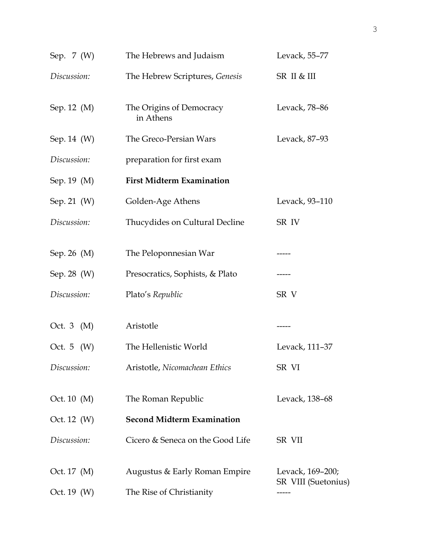| Sep. 7 (W)   | The Hebrews and Judaism               | Levack, 55-77                           |
|--------------|---------------------------------------|-----------------------------------------|
| Discussion:  | The Hebrew Scriptures, Genesis        | SR II & III                             |
| Sep. 12 (M)  | The Origins of Democracy<br>in Athens | Levack, 78-86                           |
| Sep. 14 (W)  | The Greco-Persian Wars                | Levack, 87-93                           |
| Discussion:  | preparation for first exam            |                                         |
| Sep. 19 (M)  | <b>First Midterm Examination</b>      |                                         |
| Sep. 21 (W)  | Golden-Age Athens                     | Levack, 93-110                          |
| Discussion:  | Thucydides on Cultural Decline        | SR IV                                   |
| Sep. 26 (M)  | The Peloponnesian War                 |                                         |
| Sep. 28 (W)  | Presocratics, Sophists, & Plato       |                                         |
| Discussion:  | Plato's Republic                      | SR V                                    |
| Oct. 3 (M)   | Aristotle                             | -----                                   |
| Oct. 5 $(W)$ | The Hellenistic World                 | Levack, 111-37                          |
| Discussion:  | Aristotle, Nicomachean Ethics         | SR VI                                   |
| Oct. 10 (M)  | The Roman Republic                    | Levack, 138–68                          |
| Oct. 12 (W)  | <b>Second Midterm Examination</b>     |                                         |
| Discussion:  | Cicero & Seneca on the Good Life      | SR VII                                  |
| Oct. 17 (M)  | Augustus & Early Roman Empire         | Levack, 169–200;<br>SR VIII (Suetonius) |
| Oct. 19 (W)  | The Rise of Christianity              |                                         |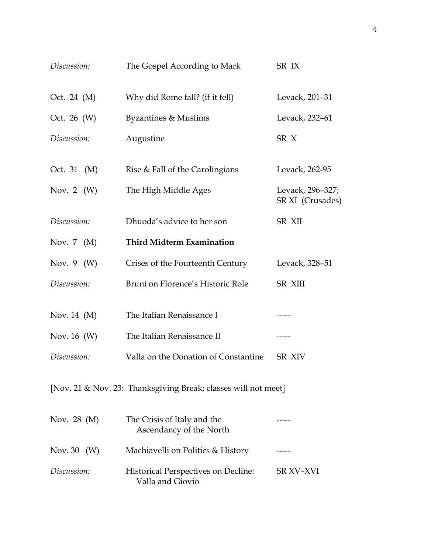| Discussion:     | The Gospel According to Mark                                   | SR IX                                |
|-----------------|----------------------------------------------------------------|--------------------------------------|
| Oct. 24 (M)     | Why did Rome fall? (if it fell)                                | Levack, 201-31                       |
| Oct. 26 $(W)$   | <b>Byzantines &amp; Muslims</b>                                | Levack, 232-61                       |
| Discussion:     | Augustine                                                      | SR <sub>X</sub>                      |
| Oct. 31 (M)     | Rise & Fall of the Carolingians                                | Levack, 262-95                       |
| Nov. 2 $(W)$    | The High Middle Ages                                           | Levack, 296–327;<br>SR XI (Crusades) |
| Discussion:     | Dhuoda's advice to her son                                     | <b>SR XII</b>                        |
| Nov. $7 \ (M)$  | <b>Third Midterm Examination</b>                               |                                      |
| Nov. $9 \ (W)$  | Crises of the Fourteenth Century                               | Levack, 328-51                       |
| Discussion:     | Bruni on Florence's Historic Role                              | <b>SR XIII</b>                       |
| Nov. $14 \ (M)$ | The Italian Renaissance I                                      |                                      |
| Nov. 16 (W)     | The Italian Renaissance II                                     | -----                                |
| Discussion:     | Valla on the Donation of Constantine                           | SR XIV                               |
|                 | [Nov. 21 & Nov. 23: Thanksgiving Break; classes will not meet] |                                      |
| Nov. 28 $(M)$   | The Crisis of Italy and the<br>Ascendancy of the North         |                                      |
| Nov. 30 $(W)$   | Machiavelli on Politics & History                              |                                      |
| Discussion:     | Historical Perspectives on Decline:<br>Valla and Giovio        | SR XV-XVI                            |